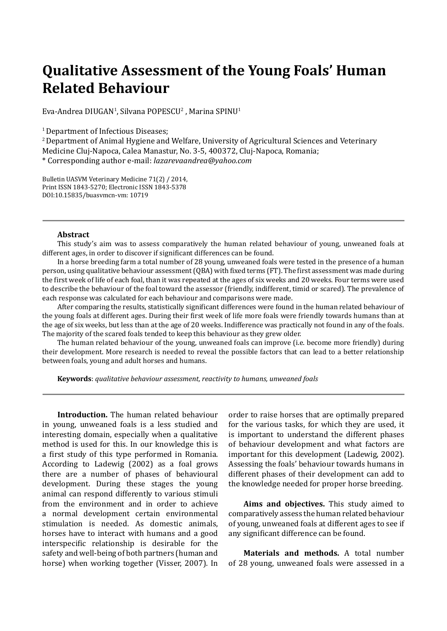## **Qualitative Assessment of the Young Foals' Human Related Behaviour**

Eva-Andrea DIUGAN<sup>1</sup>, Silvana POPESCU<sup>2</sup> , Marina SPINU<sup>1</sup>

<sup>1</sup> Department of Infectious Diseases;

2 Department of Animal Hygiene and Welfare, University of Agricultural Sciences and Veterinary Medicine Cluj-Napoca, Calea Manastur, No. 3-5, 400372, Cluj-Napoca, Romania; \* Corresponding author e-mail: *lazarevaandrea@yahoo.com*

Bulletin UASVM Veterinary Medicine 71(2) / 2014, Print ISSN 1843-5270; Electronic ISSN 1843-5378 DOI:10.15835/buasvmcn-vm: 10719

## **Abstract**

This study's aim was to assess comparatively the human related behaviour of young, unweaned foals at different ages, in order to discover if significant differences can be found.

In a horse breeding farm a total number of 28 young, unweaned foals were tested in the presence of a human person, using qualitative behaviour assessment (QBA) with fixed terms (FT). The first assessment was made during the first week of life of each foal, than it was repeated at the ages of six weeks and 20 weeks. Four terms were used to describe the behaviour of the foal toward the assessor (friendly, indifferent, timid or scared). The prevalence of each response was calculated for each behaviour and comparisons were made.

After comparing the results, statistically significant differences were found in the human related behaviour of the young foals at different ages. During their first week of life more foals were friendly towards humans than at the age of six weeks, but less than at the age of 20 weeks. Indifference was practically not found in any of the foals. The majority of the scared foals tended to keep this behaviour as they grew older.

The human related behaviour of the young, unweaned foals can improve (i.e. become more friendly) during their development. More research is needed to reveal the possible factors that can lead to a better relationship between foals, young and adult horses and humans.

**Keywords**: *qualitative behaviour assessment, reactivity to humans, unweaned foals*

**Introduction.** The human related behaviour in young, unweaned foals is a less studied and interesting domain, especially when a qualitative method is used for this. In our knowledge this is a first study of this type performed in Romania. According to Ladewig (2002) as a foal grows there are a number of phases of behavioural development. During these stages the young animal can respond differently to various stimuli from the environment and in order to achieve a normal development certain environmental stimulation is needed. As domestic animals, horses have to interact with humans and a good interspecific relationship is desirable for the safety and well-being of both partners (human and horse) when working together (Visser, 2007). In

order to raise horses that are optimally prepared for the various tasks, for which they are used, it is important to understand the different phases of behaviour development and what factors are important for this development (Ladewig, 2002). Assessing the foals' behaviour towards humans in different phases of their development can add to the knowledge needed for proper horse breeding.

**Aims and objectives.** This study aimed to comparatively assess the human related behaviour of young, unweaned foals at different ages to see if any significant difference can be found.

**Materials and methods.** A total number of 28 young, unweaned foals were assessed in a